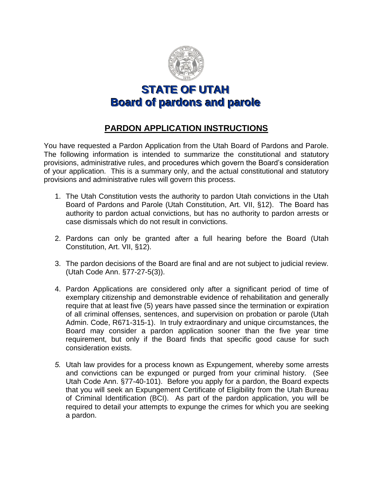

**STATE OF UTAH Board of pardons and parolle**

## **PARDON APPLICATION INSTRUCTIONS**

You have requested a Pardon Application from the Utah Board of Pardons and Parole. The following information is intended to summarize the constitutional and statutory provisions, administrative rules, and procedures which govern the Board's consideration of your application. This is a summary only, and the actual constitutional and statutory provisions and administrative rules will govern this process.

- 1. The Utah Constitution vests the authority to pardon Utah convictions in the Utah Board of Pardons and Parole (Utah Constitution, Art. VII, §12). The Board has authority to pardon actual convictions, but has no authority to pardon arrests or case dismissals which do not result in convictions.
- 2. Pardons can only be granted after a full hearing before the Board (Utah Constitution, Art. VII, §12).
- 3. The pardon decisions of the Board are final and are not subject to judicial review. (Utah Code Ann. §77-27-5(3)).
- 4. Pardon Applications are considered only after a significant period of time of exemplary citizenship and demonstrable evidence of rehabilitation and generally require that at least five (5) years have passed since the termination or expiration of all criminal offenses, sentences, and supervision on probation or parole (Utah Admin. Code, R671-315-1). In truly extraordinary and unique circumstances, the Board may consider a pardon application sooner than the five year time requirement, but only if the Board finds that specific good cause for such consideration exists.
- *5.* Utah law provides for a process known as Expungement, whereby some arrests and convictions can be expunged or purged from your criminal history. (See Utah Code Ann. §77-40-101). Before you apply for a pardon, the Board expects that you will seek an Expungement Certificate of Eligibility from the Utah Bureau of Criminal Identification (BCI). As part of the pardon application, you will be required to detail your attempts to expunge the crimes for which you are seeking a pardon.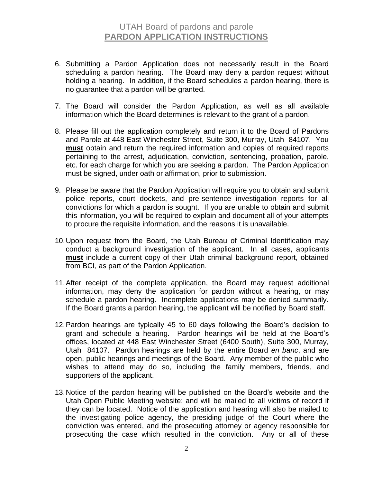## UTAH Board of pardons and parole **PARDON APPLICATION INSTRUCTIONS**

- 6. Submitting a Pardon Application does not necessarily result in the Board scheduling a pardon hearing. The Board may deny a pardon request without holding a hearing. In addition, if the Board schedules a pardon hearing, there is no guarantee that a pardon will be granted.
- 7. The Board will consider the Pardon Application, as well as all available information which the Board determines is relevant to the grant of a pardon.
- 8. Please fill out the application completely and return it to the Board of Pardons and Parole at 448 East Winchester Street, Suite 300, Murray, Utah 84107. You **must** obtain and return the required information and copies of required reports pertaining to the arrest, adjudication, conviction, sentencing, probation, parole, etc. for each charge for which you are seeking a pardon. The Pardon Application must be signed, under oath or affirmation, prior to submission.
- 9. Please be aware that the Pardon Application will require you to obtain and submit police reports, court dockets, and pre-sentence investigation reports for all convictions for which a pardon is sought. If you are unable to obtain and submit this information, you will be required to explain and document all of your attempts to procure the requisite information, and the reasons it is unavailable.
- 10.Upon request from the Board, the Utah Bureau of Criminal Identification may conduct a background investigation of the applicant. In all cases, applicants **must** include a current copy of their Utah criminal background report, obtained from BCI, as part of the Pardon Application.
- 11.After receipt of the complete application, the Board may request additional information, may deny the application for pardon without a hearing, or may schedule a pardon hearing. Incomplete applications may be denied summarily. If the Board grants a pardon hearing, the applicant will be notified by Board staff.
- 12.Pardon hearings are typically 45 to 60 days following the Board's decision to grant and schedule a hearing. Pardon hearings will be held at the Board's offices, located at 448 East Winchester Street (6400 South), Suite 300, Murray, Utah 84107. Pardon hearings are held by the entire Board *en banc*, and are open, public hearings and meetings of the Board. Any member of the public who wishes to attend may do so, including the family members, friends, and supporters of the applicant.
- 13.Notice of the pardon hearing will be published on the Board's website and the Utah Open Public Meeting website; and will be mailed to all victims of record if they can be located. Notice of the application and hearing will also be mailed to the investigating police agency, the presiding judge of the Court where the conviction was entered, and the prosecuting attorney or agency responsible for prosecuting the case which resulted in the conviction. Any or all of these